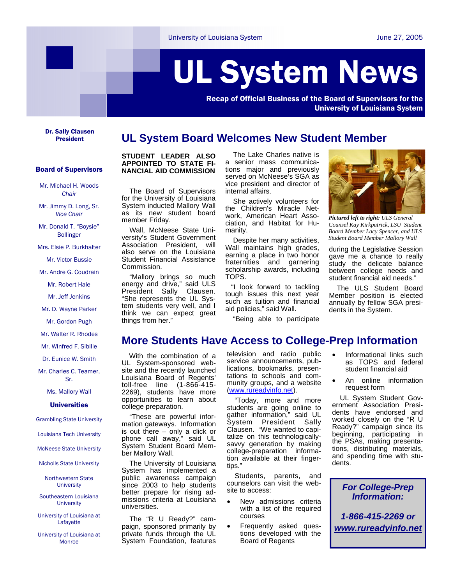# UL System News

Recap of Official Business of the Board of Supervisors for the University of Louisiana System

Dr. Sally Clausen

## **UL System Board Welcomes New Student Member**

## Board of Supervisors

Mr. Michael H. Woods *Chair*

Mr. Jimmy D. Long, Sr. *Vice Chair*

Mr. Donald T. "Boysie" Bollinger

Mrs. Elsie P. Burkhalter

Mr. Victor Bussie

Mr. Andre G. Coudrain

Mr. Robert Hale

Mr. Jeff Jenkins

Mr. D. Wayne Parker

Mr. Gordon Pugh

Mr. Walter R. Rhodes

Mr. Winfred F. Sibille

Dr. Eunice W. Smith

Mr. Charles C. Teamer, Sr.

Ms. Mallory Wall

#### **Universities**

Grambling State University

Louisiana Tech University

McNeese State University

Nicholls State University

Northwestern State **University** 

Southeastern Louisiana **University** 

University of Louisiana at Lafayette

University of Louisiana at Monroe

## **STUDENT LEADER ALSO APPOINTED TO STATE FI-NANCIAL AID COMMISSION**

 The Board of Supervisors for the University of Louisiana System inducted Mallory Wall as its new student board member Friday.

 Wall, McNeese State University's Student Government Association President, will also serve on the Louisiana Student Financial Assistance Commission.

 "Mallory brings so much energy and drive," said ULS President Sally Clausen. "She represents the UL System students very well, and I think we can expect great things from her."

 The Lake Charles native is a senior mass communications major and previously served on McNeese's SGA as vice president and director of internal affairs.

 She actively volunteers for the Children's Miracle Network, American Heart Association, and Habitat for Humanity.

 Despite her many activities, Wall maintains high grades, earning a place in two honor fraternities and garnering scholarship awards, including TOPS.

 "I look forward to tackling tough issues this next year such as tuition and financial aid policies," said Wall.



*Pictured left to right: ULS General Counsel Kay Kirkpatrick, LSU Student Board Member Lacy Spencer, and ULS Student Board Member Mallory Wall* 

during the Legislative Session gave me a chance to really study the delicate balance between college needs and student financial aid needs."

 The ULS Student Board Member position is elected annually by fellow SGA presidents in the System.

"Being able to participate

## **More Students Have Access to College-Prep Information**

 With the combination of a UL System-sponsored website and the recently launched Louisiana Board of Regents' toll-free line (1-866-415- 2269), students have more opportunities to learn about college preparation.

 "These are powerful information gateways. Information is out there  $-$  only a click or phone call away," said UL System Student Board Member Mallory Wall.

 The University of Louisiana System has implemented a public awareness campaign since 2003 to help students better prepare for rising admissions criteria at Louisiana universities.

 The "R U Ready?" campaign, sponsored primarily by private funds through the UL System Foundation, features

television and radio public service announcements, publications, bookmarks, presentations to schools and community groups, and a website (www.rureadyinfo.net).

 "Today, more and more students are going online to gather information," said UL System President Sally Clausen. "We wanted to capitalize on this technologicallysavvy generation by making college-preparation information available at their fingertips."

 Students, parents, and counselors can visit the website to access:

- New admissions criteria with a list of the required courses
- Frequently asked questions developed with the Board of Regents
- Informational links such as TOPS and federal student financial aid
- An online information request form

 UL System Student Government Association Presidents have endorsed and worked closely on the "R U Ready?" campaign since its beginning, participating in the PSAs, making presentations, distributing materials, and spending time with students.

> *For College-Prep Information:*

*1-866-415-2269 or www.rureadyinfo.net*